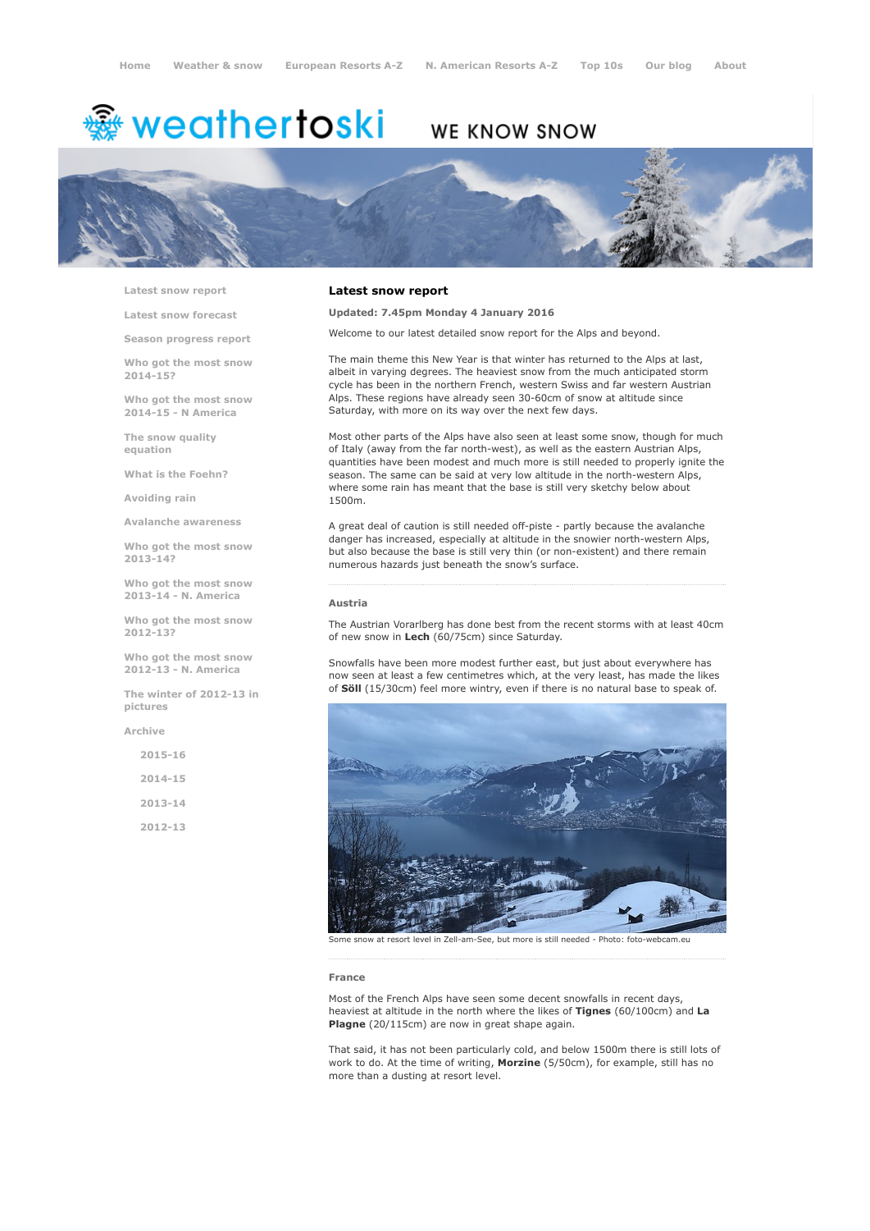# <del>鑾</del> weathertoski

# WE KNOW SNOW



Latest snow [report](http://www.weathertoski.co.uk/weather-snow/latest-snow-report/)

Latest snow [forecast](http://www.weathertoski.co.uk/weather-snow/latest-snow-forecast/)

Season [progress](http://www.weathertoski.co.uk/weather-snow/season-progress-report/) report

Who got the most snow 2014-15?

Who got the most snow 2014-15 - N America

The snow quality [equation](http://www.weathertoski.co.uk/weather-snow/the-snow-quality-equation/)

What is the [Foehn?](http://www.weathertoski.co.uk/weather-snow/what-is-the-foehn/)

[Avoiding](http://www.weathertoski.co.uk/weather-snow/avoiding-rain/) rain

Avalanche [awareness](http://www.weathertoski.co.uk/weather-snow/avalanche-awareness/)

Who got the most snow 2013-14?

Who got the most snow 2013-14 - N. America

Who got the most snow 2012-13?

Who got the most snow 2012-13 - N. America

The winter of 2012-13 in pictures

[Archive](http://www.weathertoski.co.uk/weather-snow/archive/)

2015-16 2014-15 2013-14 2012-13

# Latest snow report

Updated: 7.45pm Monday 4 January 2016

Welcome to our latest detailed snow report for the Alps and beyond.

The main theme this New Year is that winter has returned to the Alps at last, albeit in varying degrees. The heaviest snow from the much anticipated storm cycle has been in the northern French, western Swiss and far western Austrian Alps. These regions have already seen 30-60cm of snow at altitude since Saturday, with more on its way over the next few days.

Most other parts of the Alps have also seen at least some snow, though for much of Italy (away from the far north-west), as well as the eastern Austrian Alps, quantities have been modest and much more is still needed to properly ignite the season. The same can be said at very low altitude in the north-western Alps, where some rain has meant that the base is still very sketchy below about 1500m.

A great deal of caution is still needed off-piste - partly because the avalanche danger has increased, especially at altitude in the snowier north-western Alps, but also because the base is still very thin (or non-existent) and there remain numerous hazards just beneath the snow's surface.

### Austria

The Austrian Vorarlberg has done best from the recent storms with at least 40cm of new snow in Lech (60/75cm) since Saturday.

Snowfalls have been more modest further east, but just about everywhere has now seen at least a few centimetres which, at the very least, has made the likes of Söll (15/30cm) feel more wintry, even if there is no natural base to speak of.



Some snow at resort level in Zell-am-See, but more is still needed - Photo: foto-webcam.eu

#### France

Most of the French Alps have seen some decent snowfalls in recent days, heaviest at altitude in the north where the likes of Tignes (60/100cm) and La Plagne (20/115cm) are now in great shape again.

That said, it has not been particularly cold, and below 1500m there is still lots of work to do. At the time of writing, Morzine (5/50cm), for example, still has no more than a dusting at resort level.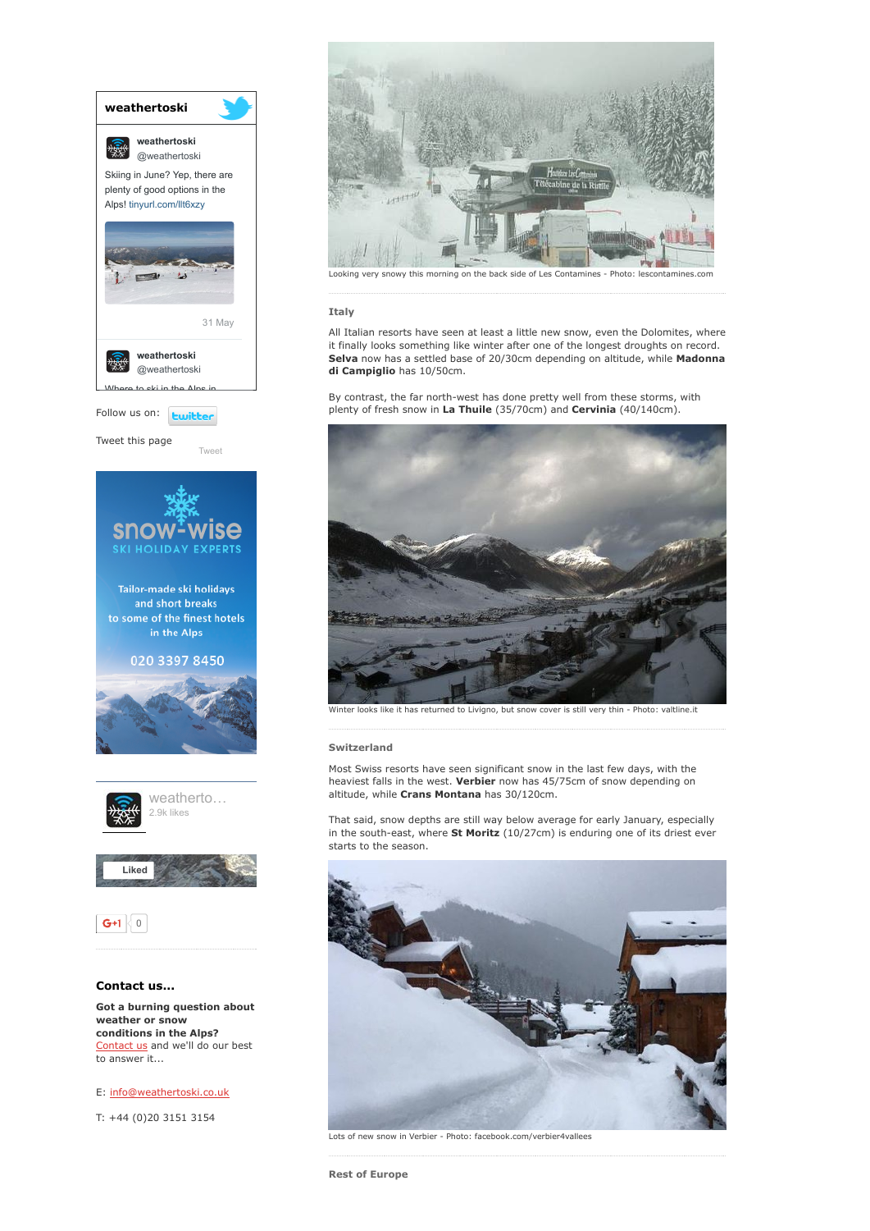

conditions in the Alps? [Contact](http://www.weathertoski.co.uk/about-1/contact-us/) us and we'll do our best to answer it...

E: [info@weathertoski.co.uk](mailto:fraser@weathertoski.co.uk)

T: +44 (0)20 3151 3154



this morning o

Italy

All Italian resorts have seen at least a little new snow, even the Dolomites, where it finally looks something like winter after one of the longest droughts on record. Selva now has a settled base of 20/30cm depending on altitude, while Madonna di Campiglio has 10/50cm.

By contrast, the far north-west has done pretty well from these storms, with plenty of fresh snow in La Thuile (35/70cm) and Cervinia (40/140cm).



looks like it has returned to Livigno, but snow cover is still very thin - Photo: valtline.it

# Switzerland

Most Swiss resorts have seen significant snow in the last few days, with the heaviest falls in the west. Verbier now has 45/75cm of snow depending on altitude, while Crans Montana has 30/120cm.

That said, snow depths are still way below average for early January, especially in the south-east, where  $St$  Moritz (10/27cm) is enduring one of its driest ever starts to the season.



Lots of new snow in Verbier - Photo: facebook.com/verbier4vallees